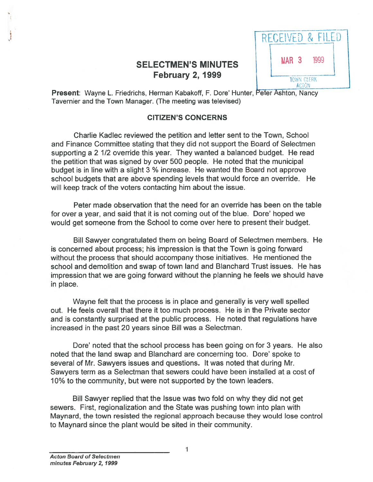# SELECTMEN'S MINUTES February 2, 1999

|                  |              | RECEIVED & FILEI  |  |
|------------------|--------------|-------------------|--|
| MAR <sub>3</sub> |              | 1999              |  |
|                  | <b>ACTON</b> | <b>TOWN CLERK</b> |  |

Present: Wayne L. Friedrichs, Herman Kabakoff, F. Dore' Hunter, Peter Ashton, Nancy Tavernier and the Town Manager. (The meeting was televised)

## CITIZEN'S CONCERNS

Charlie Kadlec reviewed the petition and letter sent to the Town, School and Finance Committee stating that they did not suppor<sup>t</sup> the Board of Selectmen supporting <sup>a</sup> 2 1/2 override this year. They wanted <sup>a</sup> balanced budget. He read the petition that was signed by over 500 people. He noted that the municipal budget is in line with <sup>a</sup> slight 3 % increase. He wanted the Board not approve school budgets that are above spending levels that would force an override. He will keep track of the voters contacting him about the issue.

Peter made observation that the need for an override has been on the table for over <sup>a</sup> year, and said that it is not coming out of the blue. Dore' hoped we would ge<sup>t</sup> someone from the School to come over here to presen<sup>t</sup> their budget.

Bill Sawyer congratulated them on being Board of Selectmen members. He is concerned about process; his impression is that the Town is going forward without the process that should accompany those initiatives. He mentioned the school and demolition and swap of town land and Blanchard Trust issues. He has impression that we are going forward without the planning he feels we should have in place.

Wayne felt that the process is in place and generally is very well spelled out. He feels overall that there it too much process. He is in the Private sector and is constantly surprised at the public process. He noted that regulations have increased in the pas<sup>t</sup> 20 years since Bill was <sup>a</sup> Selectman.

Dote' noted that the school process has been going on for 3 years. He also noted that the land swap and Blanchard are concerning too. Dore' spoke to several of Mr. Sawyers issues and questions. It was noted that during Mt. Sawyers term as <sup>a</sup> Selectman that sewers could have been installed at <sup>a</sup> cost of 10% to the community, but were not supported by the town leaders.

Bill Sawyer replied that the Issue was two fold on why they did not ge<sup>t</sup> sewers. First, regionalization and the State was pushing town into plan with Maynard, the town resisted the regional approach because they would lose control to Maynard since the plant would be sited in their community.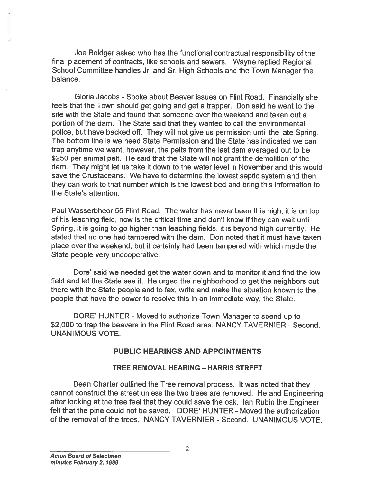Joe Boldger asked who has the functional contractual responsibility of the final <sup>p</sup>lacement of contracts, like schools and sewers. Wayne replied Regional School Committee handles Jr. and Sr. High Schools and the Town Manager the balance.

Gloria Jacobs - Spoke about Beaver issues on Flint Road. Financially she feels that the Town should ge<sup>t</sup> going and ge<sup>t</sup> <sup>a</sup> trapper. Don said he went to the site with the State and found that someone over the weekend and taken out <sup>a</sup> portion of the dam. The State said that they wanted to call the environmental police, but have backed off. They will not <sup>g</sup>ive us permission until the late Spring. The bottom line is we need State Permission and the State has indicated we can trap anytime we want, however, the pelts from the last dam averaged out to be \$250 per animal pelt. He said that the State will not gran<sup>t</sup> the demolition of the dam. They might let us take it down to the water level in November and this would save the Crustaceans. We have to determine the lowest septic system and then they can work to that number which is the lowest bed and bring this information to the State's attention. Joe Boldger asked who has the functional contractual reeponsibility of the School Committee handes. IKe schools and sevens. Way rereptial Regional<br>School Committee handes. IK as chools and seven Sing reptial Regional<br>parti

Paul Wasserbheor 55 Flint Road. The water has never been this high, it is on top of his leaching field, now is the critical time and don't know if they can wait until Spring, it is going to go higher than leaching fields, it is beyond high currently. He stated that no one had tampered with the dam. Don noted that it must have taken place over the weekend, but it certainly had been tampered with which made the State people very uncooperative.

Dore' said we needed ge<sup>t</sup> the water down and to monitor it and find the low field and let the State see it. He urged the neighborhood to ge<sup>t</sup> the neighbors out there with the State people and to fax, write and make the situation known to the people that have the power to resolve this in an immediate way, the State.

DORE' HUNTER - Moved to authorize Town Manager to spend up to \$2,000 to trap the beavers in the Flint Road area. NANCY TAVERNIER - Second. UNANIMOUS VOTE.

### PUBLIC HEARINGS AND APPOINTMENTS

### TREE REMOVAL HEARING — HARRIS STREET

Dean Charter outlined the Tree removal process. It was noted that they cannot construct the street unless the two trees are removed. He and Engineering after looking at the tree feel that they could save the oak. Ian Rubin the Engineer felt that the pine could not be saved. DORE' HUNTER - Moved the authorization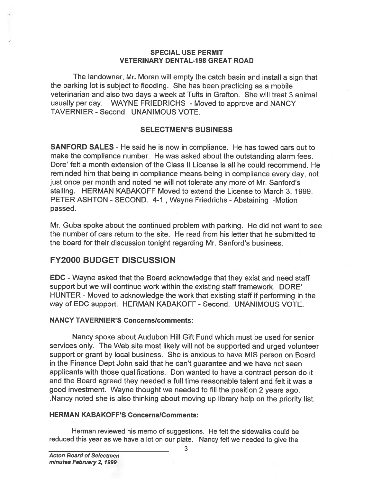### SPECIAL USE PERMIT **VETERINARY DENTAL-198 GREAT ROAD**

The landowner, Mr. Moran will empty the catch basin and install <sup>a</sup> sign that the parking lot is subject to flooding. She has been practicing as <sup>a</sup> mobile veterinarian and also two days <sup>a</sup> week at Tufts in Grafton. She will treat 3 animal usually per day. WAYNE FRIEDRICHS - Moved to approve and NANCY TAVERNIER -Second. UNANIMOUS VOTE.

### SELECTMEN'S BUSINESS

SANFORD SALES - He said he is now in compliance. He has towed cars out to make the compliance number. He was asked about the outstanding alarm fees. Dore' felt a month extension of the Class II License is all he could recommend. He reminded him that being in compliance means being in compliance every day, not just once per month and noted he will not tolerate any more of Mr. Sanford's stalling. HERMAN KABAKOFF Moved to extend the License to March 3, 1999. PETER ASHTON - SECOND. 4-1, Wayne Friedrichs - Abstaining -Motion passed.

Mr. Guba spoke about the continued problem with parking. He did not want to see the number of cars return to the site. He read from his letter that he submitted to the board for their discussion tonight regarding Mr. Sanford's business.

## FY2000 BUDGET DISCUSSION

EDC -Wayne asked that the Board acknowledge that they exist and need staff suppor<sup>t</sup> but we will continue work within the existing staff framework. DORE' HUNTER - Moved to acknowledge the work that existing staff if performing in the way of EDC support. HERMAN KABAKOFF - Second. UNANIMOUS VOTE.

### NANCY TAVERNIER'S Concernslcomments:

Nancy spoke about Audubon Hill Gift Fund which must be used for senior services only. The Web site most likely will not be supported and urged volunteer suppor<sup>t</sup> or gran<sup>t</sup> by local business. She is anxious to have MIS person on Board in the Finance Dept John said that he can't guarantee and we have not seen applicants with those qualifications. Don wanted to have a contract person do it and the Board agreed they needed <sup>a</sup> full time reasonable talent and felt it was <sup>a</sup> good investment. Wayne thought we needed to fill the position <sup>2</sup> years ago. .Nancy noted she is also thinking about moving up library help on the priority list. SPECIAL USE PERNIIT<br>The landowing, Mr. Moran will empty the eatch basin and initsal is also<br>the parking of its subject to flooding. She has been preciding as a mobile<br>the parking of its subject to flooding. She has been pr

### **HERMAN KABAKOFF'S Concerns/Comments:**

Herman reviewed his memo of suggestions. He felt the sidewalks could be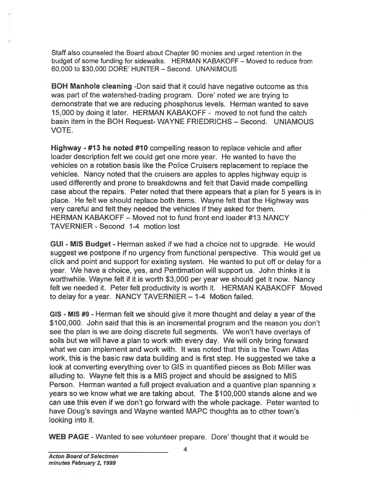Staff also counseled the Board about Chapter 90 monies and urged retention in the budget of some funding for sidewalks. HERMAN KABAKOFF — Moved to reduce from 60,000 to \$30,000 DORE' HUNTER — Second. UNANIMOUS

BOH Manhole cleaning -Don said that it could have negative outcome as this was par<sup>t</sup> of the watershed-trading program. Dore' noted we are trying to demonstrate that we are reducing phosphorus levels. Herman wanted to save 15,000 by doing it later. HERMAN KABAKOFF - moved to not fund the catch basin item in the BOH Request- WAYNE FRIEDRICHS — Second. UNIAMOUS VOTE.

Highway - #13 he noted #10 compelling reason to replace vehicle and after loader description felt we could ge<sup>t</sup> one more year. He wanted to have the vehicles on <sup>a</sup> rotation basis like the Police Cruisers replacement to replace the vehicles. Nancy noted that the cruisers are apples to apples highway equip is used differently and prone to breakdowns and felt that David made compelling case about the repairs. Peter noted that there appears that <sup>a</sup> plan for 5 years is in place. He felt we should replace both items. Wayne felt that the Highway was very careful and felt they needed the vehicles if they asked for them. HERMAN KABAKOFF — Moved not to fund front end loader #13 NANCY TAVERNIER - Second 1-4 motion lost

GUI - MIS Budget - Herman asked if we had <sup>a</sup> choice not to upgrade. He would sugges<sup>t</sup> we postpone if no urgency from functional perspective. This would ge<sup>t</sup> us click and point and suppor<sup>t</sup> for existing system. He wanted to pu<sup>t</sup> off or delay for <sup>a</sup> year. We have <sup>a</sup> choice, yes, and Pentimation will suppor<sup>t</sup> us. John thinks it is worthwhile. Wayne felt if it is worth \$3,000 per year we should ge<sup>t</sup> it now. Nancy felt we needed it. Peter felt productivity is worth it. HERMAN KABAKOFF Moved to delay for <sup>a</sup> year. NANCY TAVERNIER — 1-4 Motion failed.

GIS - MIS #9 - Herman felt we should give it more thought and delay <sup>a</sup> year of the \$1 00,000. John said that this is an incremental program and the reason you don't see the plan is we are doing discrete full segments. We won't have overlays of soils but we will have <sup>a</sup> plan to work with every day. We will only bring forward what we can implement and work with. It was noted that this is the Town Atlas work, this is the basic raw data building and is first step. He suggested we take <sup>a</sup> look at converting everything over to GIS in quantified pieces as Bob Miller was alluding to. Wayne felt this is <sup>a</sup> MIS project and should be assigned to MIS Person. Herman wanted <sup>a</sup> full project evaluation and <sup>a</sup> quantive plan spanning <sup>x</sup> years so we know what we are taking about. The \$100,000 stands alone and we can use this even if we don't go forward with the whole package. Peter wanted to have Doug's savings and Wayne wanted MAPC thoughts as to other town's looking into it. Staff also counneled the Board about Chapter 60 monies and urged retention in the budget of some furding for sidewalks. HERMAN KABAKOFF-Moved to reduce a see part of the watersted-trading program. Dore' though is compariso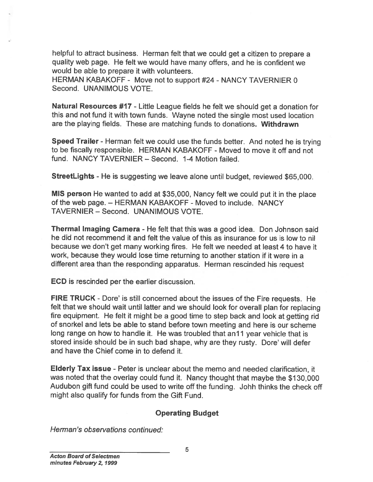helpful to attract business. Herman felt that we could ge<sup>t</sup> <sup>a</sup> citizen to prepare <sup>a</sup> quality web page. He felt we would have many offers, and he is confident we would be able to prepare it with volunteers.

HERMAN KABAKOFF - Move not to support #24 - NANCY TAVERNIER 0 Second. UNANIMOUS VOTE.

Natural Resources #17 - Little League fields he felt we should ge<sup>t</sup> <sup>a</sup> donation for this and not fund it with town funds. Wayne noted the single most used location are the playing fields. These are matching funds to donations. Withdrawn

Speed Trailer - Herman felt we could use the funds better. And noted he is trying to be fiscally responsible. HERMAN KABAKOFF - Moved to move it off and not fund. NANCY TAVERNIER — Second. 1-4 Motion failed.

StreetLights - He is suggesting we leave alone until budget, reviewed \$65,000.

MIS person He wanted to add at \$35,000, Nancy felt we could pu<sup>t</sup> it in the <sup>p</sup>lace of the web page. — HERMAN KABAKOFF - Moved to include. NANCY TAVERNIER — Second. UNANIMOUS VOTE.

Thermal Imaging Camera - He felt that this was <sup>a</sup> good idea. Don Johnson said he did not recommend it and felt the value of this as insurance for us is low to nil because we don't ge<sup>t</sup> many working fires. He felt we needed at least 4 to have it work, because they would lose time returning to another station if it were in <sup>a</sup> different area than the responding apparatus. Herman rescinded his reques<sup>t</sup>

ECD is rescinded per the earlier discussion.

FIRE TRUCK - Dore' is still concerned about the issues of the Fire requests. He felt that we should wait until latter and we should look for overall <sup>p</sup>lan for replacing fire equipment. He felt it might be <sup>a</sup> goo<sup>d</sup> time to step back and look at getting rid of snorkel and lets be able to stand before town meeting and here is our scheme long range on how to handle it. He was troubled that an<sup>11</sup> year vehicle that is stored inside should be in such bad shape, why are they rusty. Dore' will defer and have the Chief come in to defend it. helpful to attract business. Herman<br>
quality web page. He felt we would<br>
would be able to prepare it with volui<br>
HERMAN KABAKOFF - Move not to<br>
Second. UNANIMOUS VOTE.<br>
Natural Resources #17 - Little Leag<br>
this and not fun

Elderly Tax issue - Peter is unclear about the memo and needed clarification, it was noted that the overlay could fund it. Nancy thought that maybe the \$130,000 Audubon <sup>g</sup>ift fund could be used to write off the funding. Johh thinks the check off might also qualify for funds from the Gift Fund.

## Operating Budget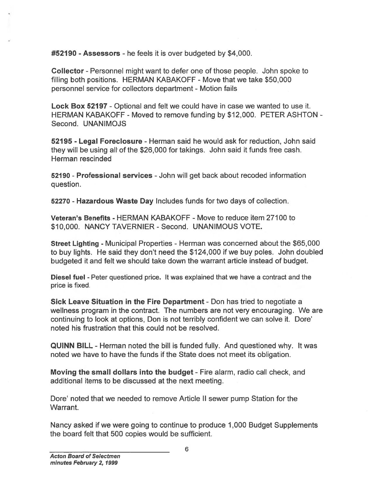#52190 -Assessors - he feels it is over budgeted by \$4,000.

Collector - Personnel might want to defer one of those people. John spoke to filling both positions. HERMAN KABAKOFF - Move that we take \$50,000 personnel service for collectors department - Motion fails

Lock Box 52197 - Optional and felt we could have in case we wanted to use it. HERMAN KABAKOFF - Moved to remove funding by \$12,000. PETER ASHTON - Second. UNANIMOJS

**52195 - Legal Foreclosure** - Herman said he would ask for reduction, John said they will be using all of the \$26,000 for takings. John said it funds free cash. Herman rescinded

52190 - Professional services - John will get back about recoded information question.

52270 - Hazardous Waste Day Includes funds for two days of collection.

Veteran's Benefits - HERMAN KABAKOFF - Move to reduce item 27100 to \$10,000. NANCY TAVERNIER - Second. UNANIMOUS VOTE.

Street Lighting - Municipal Properties - Herman was concerned about the \$65,000 to buy lights. He said they don't need the \$124,000 if we buy poles. John doubled budgeted it and felt we should take down the warrant article instead of budget.

Diesel fuel - Peter questioned price. It was explained that we have <sup>a</sup> contract and the price is fixed.

Sick Leave Situation in the Fire Department - Don has tried to negotiate <sup>a</sup> wellness program in the contract. The numbers are not very encouraging. We are continuing to look at options, Don is not terribly confident we can solve it. Dore' noted his frustration that this could not be resolved. #52190 - Assessors - he feels it is over budget<br>
Collector - Personnel might want to defer one of<br>
filling both positions. HERMAN KABAKOFF - Mo<br>
personnel service for collectors department - Mo<br>
Lock Box 52197 - Optional a

QUINN BILL - Herman noted the bill is funded fully. And questioned why. It was noted we have to have the funds if the State does not meet its obligation.

Moving the small dollars into the budget - Fire alarm, radio call check, and additional items to be discussed at the next meeting.

Dore' noted that we needed to remove Article II sewer pump Station for the Warrant.

Nancy asked if we were going to continue to produce 1,000 Budget Supplements